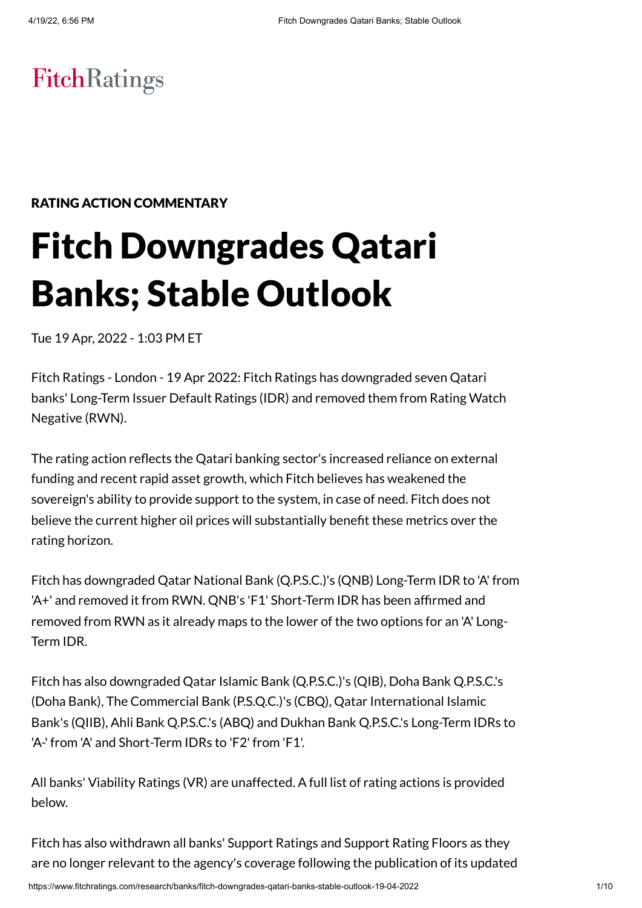# **FitchRatings**

## RATING ACTION COMMENTARY

# Fitch Downgrades Qatari Banks; Stable Outlook

Tue 19 Apr, 2022 - 1:03 PM ET

Fitch Ratings - London - 19 Apr 2022: Fitch Ratings has downgraded seven Qatari banks' Long-Term Issuer Default Ratings (IDR) and removed them from Rating Watch Negative (RWN).

The rating action reflects the Qatari banking sector's increased reliance on external funding and recent rapid asset growth, which Fitch believes has weakened the sovereign's ability to provide support to the system, in case of need. Fitch does not believe the current higher oil prices will substantially benefit these metrics over the rating horizon.

Fitch has downgraded Qatar National Bank (Q.P.S.C.)'s (QNB) Long-Term IDR to 'A' from 'A+' and removed it from RWN. QNB's 'F1' Short-Term IDR has been affirmed and removed from RWN as it already maps to the lower of the two options for an 'A' Long-Term IDR.

Fitch has also downgraded Qatar Islamic Bank (Q.P.S.C.)'s (QIB), Doha Bank Q.P.S.C.'s (Doha Bank), The Commercial Bank (P.S.Q.C.)'s (CBQ), Qatar International Islamic Bank's (QIIB), Ahli Bank Q.P.S.C.'s (ABQ) and Dukhan Bank Q.P.S.C.'s Long-Term IDRs to 'A-' from 'A' and Short-Term IDRs to 'F2' from 'F1'.

All banks' Viability Ratings (VR) are unaffected. A full list of rating actions is provided below.

Fitch has also withdrawn all banks' Support Ratings and Support Rating Floors as they are no longer relevant to the agency's coverage following the publication of its updated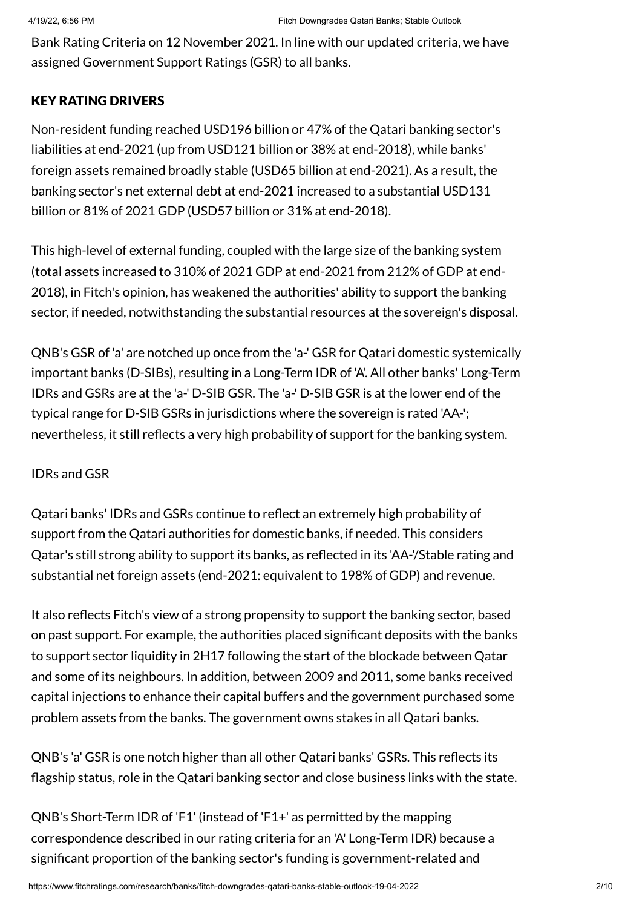Bank Rating Criteria on 12 November 2021. In line with our updated criteria, we have assigned Government Support Ratings (GSR) to all banks.

#### KEY RATING DRIVERS

Non-resident funding reached USD196 billion or 47% of the Qatari banking sector's liabilities at end-2021 (up from USD121 billion or 38% at end-2018), while banks' foreign assets remained broadly stable (USD65 billion at end-2021). As a result, the banking sector's net external debt at end-2021 increased to a substantial USD131 billion or 81% of 2021 GDP (USD57 billion or 31% at end-2018).

This high-level of external funding, coupled with the large size of the banking system (total assets increased to 310% of 2021 GDP at end-2021 from 212% of GDP at end-2018), in Fitch's opinion, has weakened the authorities' ability to support the banking sector, if needed, notwithstanding the substantial resources at the sovereign's disposal.

QNB's GSR of 'a' are notched up once from the 'a-' GSR for Qatari domestic systemically important banks (D-SIBs), resulting in a Long-Term IDR of 'A'. All other banks' Long-Term IDRs and GSRs are at the 'a-' D-SIB GSR. The 'a-' D-SIB GSR is at the lower end of the typical range for D-SIB GSRs in jurisdictions where the sovereign is rated 'AA-'; nevertheless, it still reflects a very high probability of support for the banking system.

#### IDRs and GSR

Qatari banks' IDRs and GSRs continue to reflect an extremely high probability of support from the Qatari authorities for domestic banks, if needed. This considers Qatar's still strong ability to support its banks, as reflected in its 'AA-'/Stable rating and substantial net foreign assets (end-2021: equivalent to 198% of GDP) and revenue.

It also reflects Fitch's view of a strong propensity to support the banking sector, based on past support. For example, the authorities placed significant deposits with the banks to support sector liquidity in 2H17 following the start of the blockade between Qatar and some of its neighbours. In addition, between 2009 and 2011, some banks received capital injections to enhance their capital buffers and the government purchased some problem assets from the banks. The government owns stakes in all Qatari banks.

QNB's 'a' GSR is one notch higher than all other Qatari banks' GSRs. This reflects its flagship status, role in the Qatari banking sector and close business links with the state.

QNB's Short-Term IDR of 'F1' (instead of 'F1+' as permitted by the mapping correspondence described in our rating criteria for an 'A' Long-Term IDR) because a significant proportion of the banking sector's funding is government-related and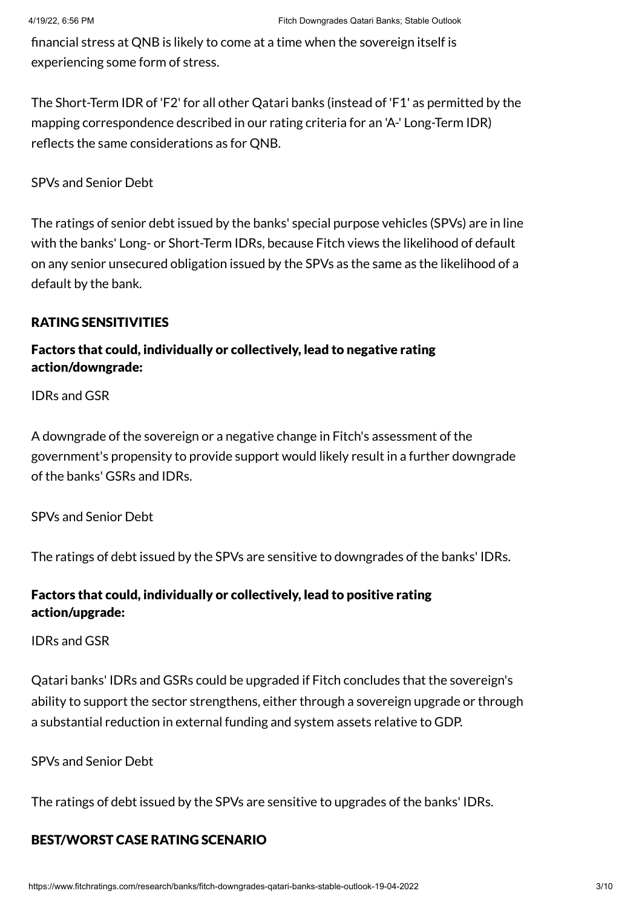financial stress at QNB is likely to come at a time when the sovereign itself is experiencing some form of stress.

The Short-Term IDR of 'F2' for all other Qatari banks (instead of 'F1' as permitted by the mapping correspondence described in our rating criteria for an 'A-' Long-Term IDR) reflects the same considerations as for QNB.

SPVs and Senior Debt

The ratings of senior debt issued by the banks' special purpose vehicles (SPVs) are in line with the banks' Long- or Short-Term IDRs, because Fitch views the likelihood of default on any senior unsecured obligation issued by the SPVs as the same as the likelihood of a default by the bank.

#### RATING SENSITIVITIES

# Factors that could, individually or collectively, lead to negative rating action/downgrade:

IDRs and GSR

A downgrade of the sovereign or a negative change in Fitch's assessment of the government's propensity to provide support would likely result in a further downgrade of the banks' GSRs and IDRs.

SPVs and Senior Debt

The ratings of debt issued by the SPVs are sensitive to downgrades of the banks' IDRs.

# Factors that could, individually or collectively, lead to positive rating action/upgrade:

#### IDRs and GSR

Qatari banks' IDRs and GSRs could be upgraded if Fitch concludes that the sovereign's ability to support the sector strengthens, either through a sovereign upgrade or through a substantial reduction in external funding and system assets relative to GDP.

#### SPVs and Senior Debt

The ratings of debt issued by the SPVs are sensitive to upgrades of the banks' IDRs.

# BEST/WORST CASE RATING SCENARIO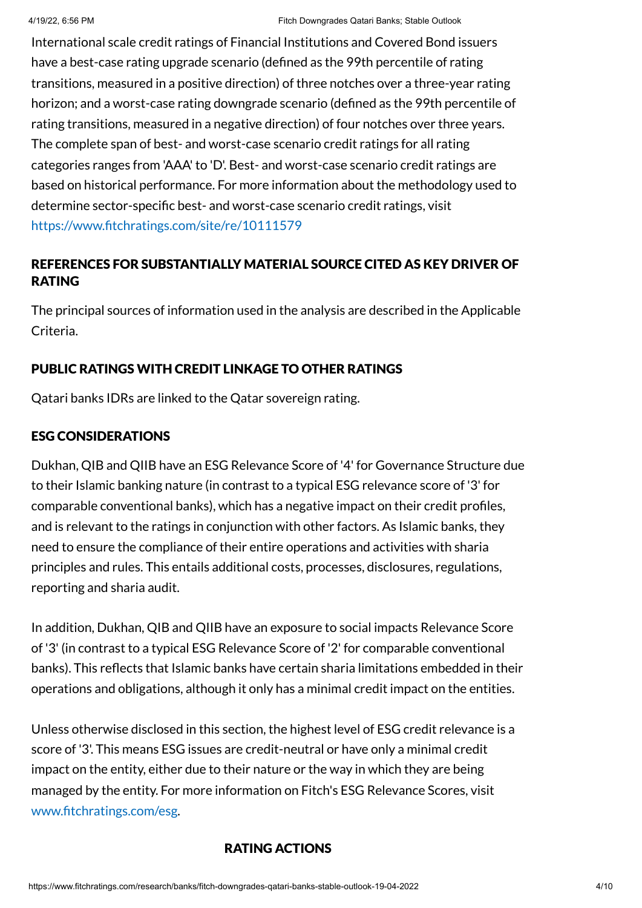International scale credit ratings of Financial Institutions and Covered Bond issuers have a best-case rating upgrade scenario (defined as the 99th percentile of rating transitions, measured in a positive direction) of three notches over a three-year rating horizon; and a worst-case rating downgrade scenario (defined as the 99th percentile of rating transitions, measured in a negative direction) of four notches over three years. The complete span of best- and worst-case scenario credit ratings for all rating categories ranges from 'AAA' to 'D'. Best- and worst-case scenario credit ratings are based on historical performance. For more information about the methodology used to determine sector-specific best- and worst-case scenario credit ratings, visit <https://www.fitchratings.com/site/re/10111579>

# REFERENCES FOR SUBSTANTIALLY MATERIAL SOURCE CITED AS KEY DRIVER OF RATING

The principal sources of information used in the analysis are described in the Applicable Criteria.

# PUBLIC RATINGS WITH CREDIT LINKAGE TO OTHER RATINGS

Qatari banks IDRs are linked to the Qatar sovereign rating.

### ESG CONSIDERATIONS

Dukhan, QIB and QIIB have an ESG Relevance Score of '4' for Governance Structure due to their Islamic banking nature (in contrast to a typical ESG relevance score of '3' for comparable conventional banks), which has a negative impact on their credit profiles, and is relevant to the ratings in conjunction with other factors. As Islamic banks, they need to ensure the compliance of their entire operations and activities with sharia principles and rules. This entails additional costs, processes, disclosures, regulations, reporting and sharia audit.

In addition, Dukhan, QIB and QIIB have an exposure to social impacts Relevance Score of '3' (in contrast to a typical ESG Relevance Score of '2' for comparable conventional banks). This reflects that Islamic banks have certain sharia limitations embedded in their operations and obligations, although it only has a minimal credit impact on the entities.

Unless otherwise disclosed in this section, the highest level of ESG credit relevance is a score of '3'. This means ESG issues are credit-neutral or have only a minimal credit impact on the entity, either due to their nature or the way in which they are being managed by the entity. For more information on Fitch's ESG Relevance Scores, visit [www.fitchratings.com/esg.](http://www.fitchratings.com/esg)

#### RATING ACTIONS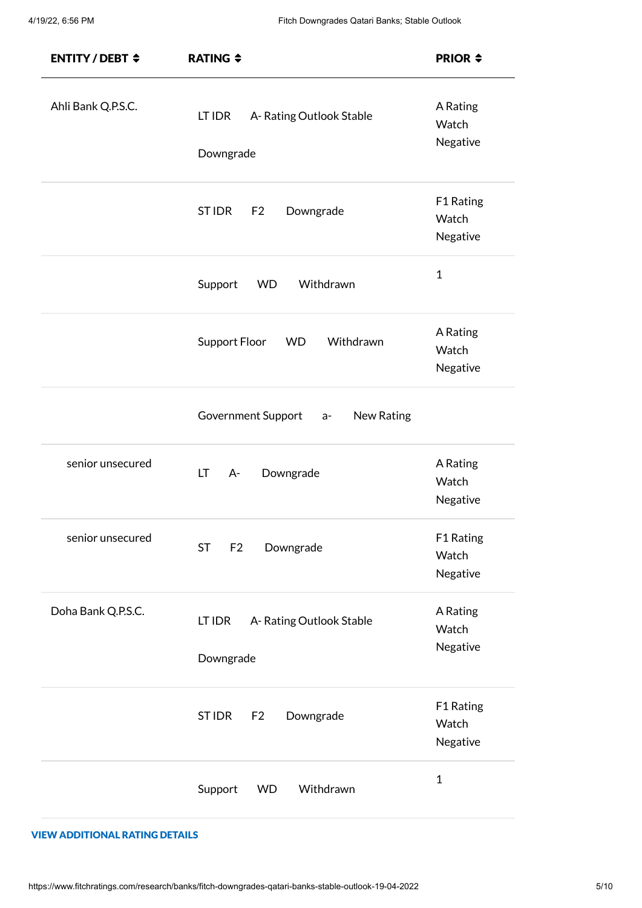| <b>ENTITY/DEBT <math>\div</math></b> | <b>RATING <math>\div</math></b>                | <b>PRIOR <math>\div</math></b> |  |  |  |
|--------------------------------------|------------------------------------------------|--------------------------------|--|--|--|
| Ahli Bank Q.P.S.C.                   | LT IDR<br>A-Rating Outlook Stable<br>Downgrade | A Rating<br>Watch<br>Negative  |  |  |  |
|                                      | ST IDR<br>F2<br>Downgrade                      | F1 Rating<br>Watch<br>Negative |  |  |  |
|                                      | Withdrawn<br>Support<br><b>WD</b>              | $\mathbf{1}$                   |  |  |  |
|                                      | <b>Support Floor</b><br>Withdrawn<br><b>WD</b> | A Rating<br>Watch<br>Negative  |  |  |  |
|                                      | Government Support<br>New Rating<br>$a-$       |                                |  |  |  |
| senior unsecured                     | LT.<br>Downgrade<br>$A -$                      | A Rating<br>Watch<br>Negative  |  |  |  |
| senior unsecured                     | <b>ST</b><br>Downgrade<br>F <sub>2</sub>       | F1 Rating<br>Watch<br>Negative |  |  |  |
| Doha Bank Q.P.S.C.                   | A-Rating Outlook Stable<br>LT IDR<br>Downgrade | A Rating<br>Watch<br>Negative  |  |  |  |
|                                      | ST IDR<br>F <sub>2</sub><br>Downgrade          | F1 Rating<br>Watch<br>Negative |  |  |  |
|                                      | Support<br>Withdrawn<br><b>WD</b>              | $\mathbf{1}$                   |  |  |  |

#### VIEW ADDITIONAL RATING DETAILS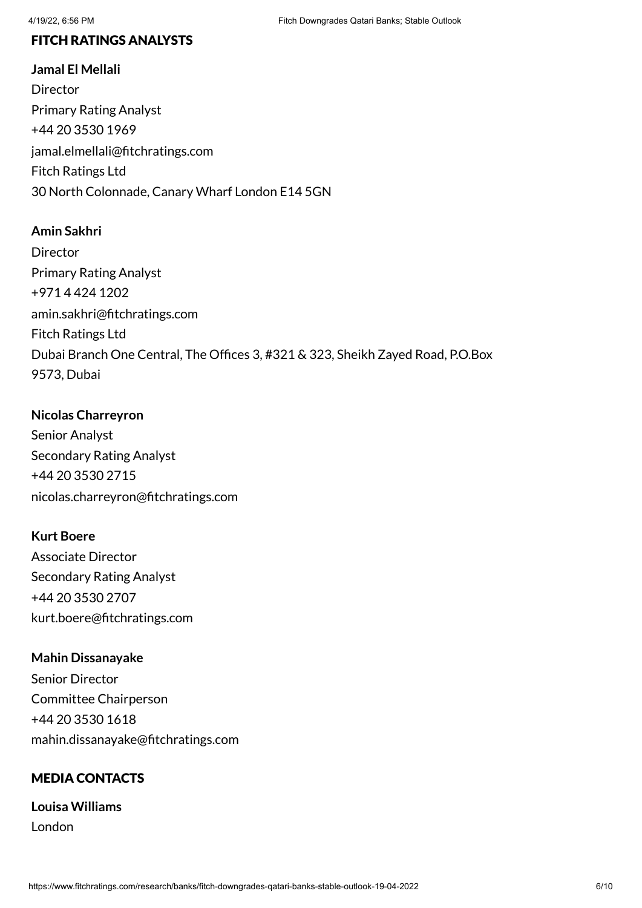#### FITCH RATINGS ANALYSTS

**Jamal El Mellali Director** Primary Rating Analyst +44 20 3530 1969 jamal.elmellali@fitchratings.com Fitch Ratings Ltd 30 North Colonnade, Canary Wharf London E14 5GN

#### **Amin Sakhri**

**Director** Primary Rating Analyst +971 4 424 1202 amin.sakhri@fitchratings.com Fitch Ratings Ltd Dubai Branch One Central, The Offices 3, #321 & 323, Sheikh Zayed Road, P.O.Box 9573, Dubai

#### **Nicolas Charreyron**

Senior Analyst Secondary Rating Analyst +44 20 3530 2715 nicolas.charreyron@fitchratings.com

#### **Kurt Boere**

Associate Director Secondary Rating Analyst +44 20 3530 2707 kurt.boere@fitchratings.com

#### **Mahin Dissanayake**

Senior Director Committee Chairperson +44 20 3530 1618 mahin.dissanayake@fitchratings.com

#### MEDIA CONTACTS

**Louisa Williams** London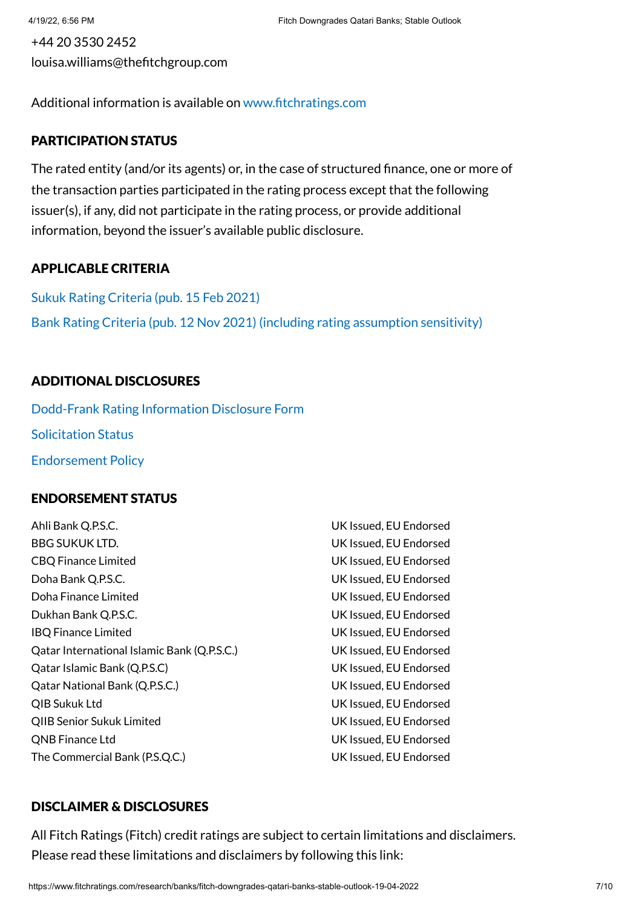+44 20 3530 2452 louisa.williams@thefitchgroup.com

Additional information is available on [www.fitchratings.com](http://www.fitchratings.com/)

#### PARTICIPATION STATUS

The rated entity (and/or its agents) or, in the case of structured finance, one or more of the transaction parties participated in the rating process except that the following issuer(s), if any, did not participate in the rating process, or provide additional information, beyond the issuer's available public disclosure.

#### APPLICABLE CRITERIA

Sukuk Rating Criteria (pub. 15 [Feb 2021\)](https://www.fitchratings.com/research/islamic-finance/sukuk-rating-criteria-15-02-2021) Bank Rating Criteria (pub. 12 Nov 2021) (including rating [assumption](https://www.fitchratings.com/research/banks/bank-rating-criteria-12-11-2021) sensitivity)

#### ADDITIONAL DISCLOSURES

[Dodd-Frank](https://www.fitchratings.com/research/banks/fitch-downgrades-qatari-banks-stable-outlook-19-04-2022/dodd-frank-disclosure) Rating Information Disclosure Form Solicitation Status [Endorsement](#page-9-0) Policy

#### ENDORSEMENT STATUS

Ahli Bank Q.P.S.C. UK Issued, EU Endorsed BBG SUKUK LTD. UK Issued, EU Endorsed CBQ Finance Limited UK Issued, EU Endorsed Doha Bank Q.P.S.C. UK Issued, EU Endorsed Doha Finance Limited UK Issued, EU Endorsed Dukhan Bank Q.P.S.C. UK Issued, EU Endorsed IBQ Finance Limited UK Issued, EU Endorsed Qatar International Islamic Bank (Q.P.S.C.) UK Issued, EU Endorsed Qatar Islamic Bank (Q.P.S.C) UK Issued, EU Endorsed Qatar National Bank (Q.P.S.C.) UK Issued, EU Endorsed QIB Sukuk Ltd UK Issued, EU Endorsed QIIB Senior Sukuk Limited UK Issued, EU Endorsed QNB Finance Ltd UK Issued, EU Endorsed The Commercial Bank (P.S.Q.C.) UK Issued, EU Endorsed

#### DISCLAIMER & DISCLOSURES

All Fitch Ratings (Fitch) credit ratings are subject to certain limitations and disclaimers. Please read these limitations and disclaimers by following this link: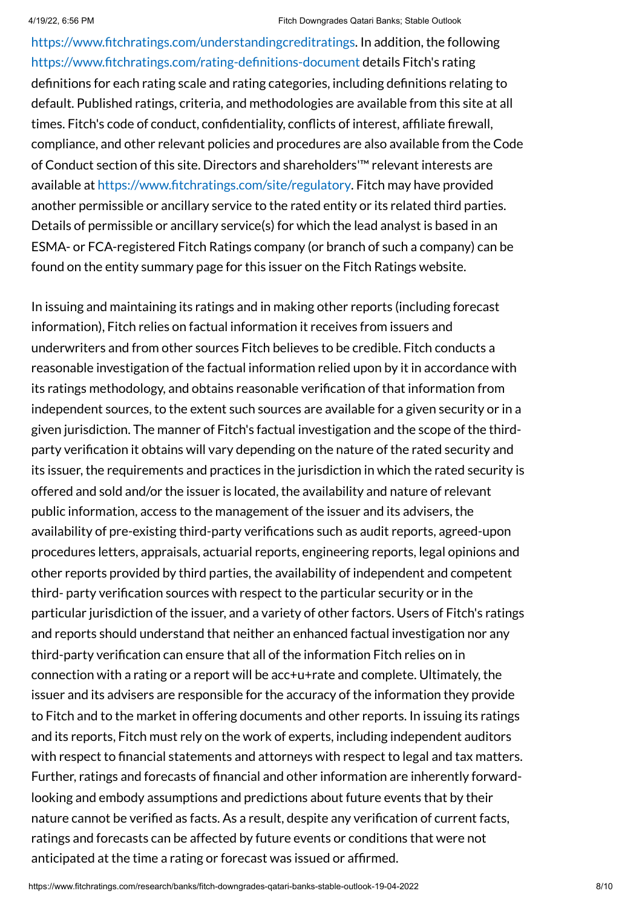[https://www.fitchratings.com/understandingcreditratings](https://www.fitchratings.com/UNDERSTANDINGCREDITRATINGS). In addition, the following [https://www.fitchratings.com/rating-definitions-document](https://www.fitchratings.com/RATING-DEFINITIONS-DOCUMENT) details Fitch's rating definitions for each rating scale and rating categories, including definitions relating to default. Published ratings, criteria, and methodologies are available from this site at all times. Fitch's code of conduct, confidentiality, conflicts of interest, affiliate firewall, compliance, and other relevant policies and procedures are also available from the Code of Conduct section of this site. Directors and shareholders'™ relevant interests are available at [https://www.fitchratings.com/site/regulatory](https://www.fitchratings.com/SITE/REGULATORY). Fitch may have provided another permissible or ancillary service to the rated entity or its related third parties. Details of permissible or ancillary service(s) for which the lead analyst is based in an ESMA- or FCA-registered Fitch Ratings company (or branch of such a company) can be found on the entity summary page for this issuer on the Fitch Ratings website.

In issuing and maintaining its ratings and in making other reports (including forecast information), Fitch relies on factual information it receives from issuers and underwriters and from other sources Fitch believes to be credible. Fitch conducts a reasonable investigation of the factual information relied upon by it in accordance with its ratings methodology, and obtains reasonable verification of that information from independent sources, to the extent such sources are available for a given security or in a given jurisdiction. The manner of Fitch's factual investigation and the scope of the thirdparty verification it obtains will vary depending on the nature of the rated security and its issuer, the requirements and practices in the jurisdiction in which the rated security is offered and sold and/or the issuer is located, the availability and nature of relevant public information, access to the management of the issuer and its advisers, the availability of pre-existing third-party verifications such as audit reports, agreed-upon procedures letters, appraisals, actuarial reports, engineering reports, legal opinions and other reports provided by third parties, the availability of independent and competent third- party verification sources with respect to the particular security or in the particular jurisdiction of the issuer, and a variety of other factors. Users of Fitch's ratings and reports should understand that neither an enhanced factual investigation nor any third-party verification can ensure that all of the information Fitch relies on in connection with a rating or a report will be acc+u+rate and complete. Ultimately, the issuer and its advisers are responsible for the accuracy of the information they provide to Fitch and to the market in offering documents and other reports. In issuing its ratings and its reports, Fitch must rely on the work of experts, including independent auditors with respect to financial statements and attorneys with respect to legal and tax matters. Further, ratings and forecasts of financial and other information are inherently forwardlooking and embody assumptions and predictions about future events that by their nature cannot be verified as facts. As a result, despite any verification of current facts, ratings and forecasts can be affected by future events or conditions that were not anticipated at the time a rating or forecast was issued or affirmed.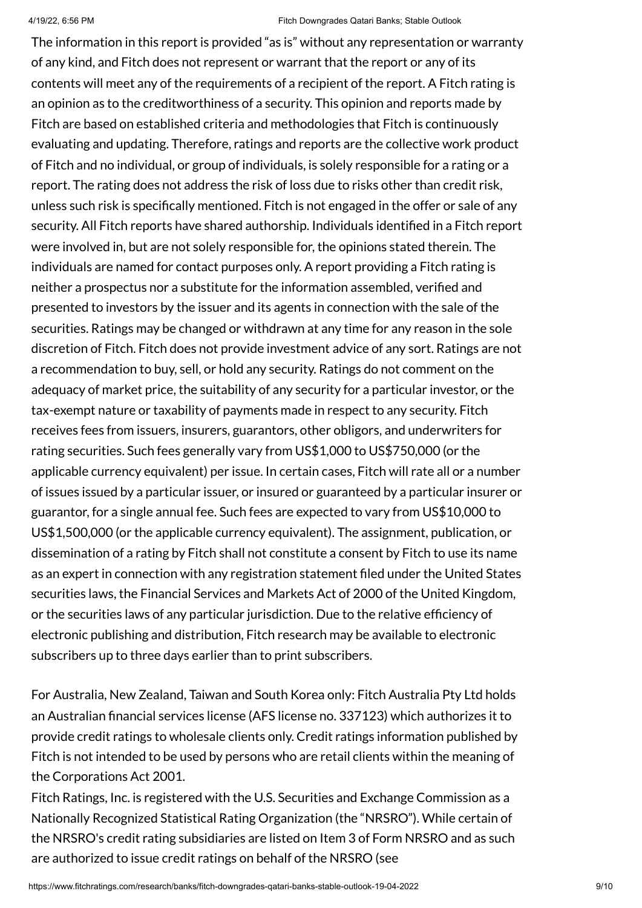The information in this report is provided "as is" without any representation or warranty of any kind, and Fitch does not represent or warrant that the report or any of its contents will meet any of the requirements of a recipient of the report. A Fitch rating is an opinion as to the creditworthiness of a security. This opinion and reports made by Fitch are based on established criteria and methodologies that Fitch is continuously evaluating and updating. Therefore, ratings and reports are the collective work product of Fitch and no individual, or group of individuals, is solely responsible for a rating or a report. The rating does not address the risk of loss due to risks other than credit risk, unless such risk is specifically mentioned. Fitch is not engaged in the offer or sale of any security. All Fitch reports have shared authorship. Individuals identified in a Fitch report were involved in, but are not solely responsible for, the opinions stated therein. The individuals are named for contact purposes only. A report providing a Fitch rating is neither a prospectus nor a substitute for the information assembled, verified and presented to investors by the issuer and its agents in connection with the sale of the securities. Ratings may be changed or withdrawn at any time for any reason in the sole discretion of Fitch. Fitch does not provide investment advice of any sort. Ratings are not a recommendation to buy, sell, or hold any security. Ratings do not comment on the adequacy of market price, the suitability of any security for a particular investor, or the tax-exempt nature or taxability of payments made in respect to any security. Fitch receives fees from issuers, insurers, guarantors, other obligors, and underwriters for rating securities. Such fees generally vary from US\$1,000 to US\$750,000 (or the applicable currency equivalent) per issue. In certain cases, Fitch will rate all or a number of issues issued by a particular issuer, or insured or guaranteed by a particular insurer or guarantor, for a single annual fee. Such fees are expected to vary from US\$10,000 to US\$1,500,000 (or the applicable currency equivalent). The assignment, publication, or dissemination of a rating by Fitch shall not constitute a consent by Fitch to use its name as an expert in connection with any registration statement filed under the United States securities laws, the Financial Services and Markets Act of 2000 of the United Kingdom, or the securities laws of any particular jurisdiction. Due to the relative efficiency of electronic publishing and distribution, Fitch research may be available to electronic subscribers up to three days earlier than to print subscribers.

For Australia, New Zealand, Taiwan and South Korea only: Fitch Australia Pty Ltd holds an Australian financial services license (AFS license no. 337123) which authorizes it to provide credit ratings to wholesale clients only. Credit ratings information published by Fitch is not intended to be used by persons who are retail clients within the meaning of the Corporations Act 2001.

Fitch Ratings, Inc. is registered with the U.S. Securities and Exchange Commission as a Nationally Recognized Statistical Rating Organization (the "NRSRO"). While certain of the NRSRO's credit rating subsidiaries are listed on Item 3 of Form NRSRO and as such are authorized to issue credit ratings on behalf of the NRSRO (see